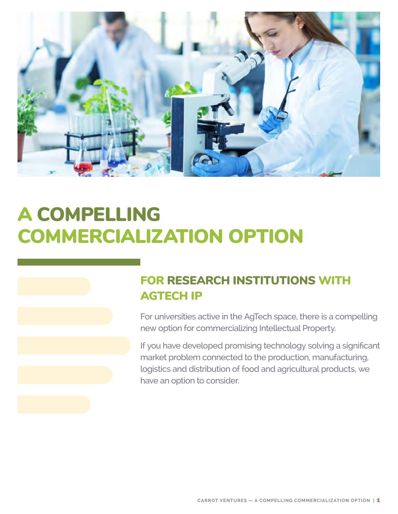

# A COMPELLING COMMERCIALIZATION OPTION

# FOR RESEARCH INSTITUTIONS WITH AGTECH IP

For universities active in the AgTech space, there is a compelling new option for commercializing Intellectual Property.

If you have developed promising technology solving a significant market problem connected to the production, manufacturing, logistics and distribution of food and agricultural products, we have an option to consider.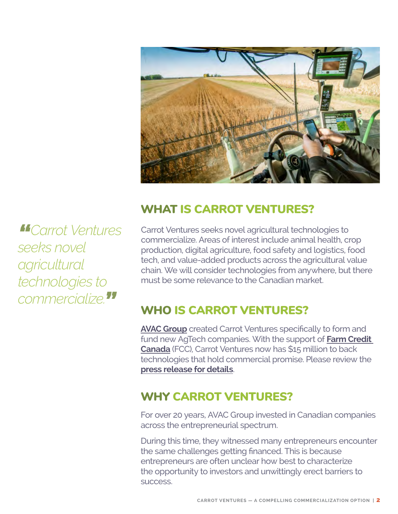

*"Carrot Ventures seeks novel agricultural technologies to commercialize."*

# WHAT IS CARROT VENTURES?

Carrot Ventures seeks novel agricultural technologies to commercialize. Areas of interest include animal health, crop production, digital agriculture, food safety and logistics, food tech, and value-added products across the agricultural value chain. We will consider technologies from anywhere, but there must be some relevance to the Canadian market.

# WHO IS CARROT VENTURES?

**[AVAC Group](https://avacgrp.com/)** created Carrot Ventures specifically to form and fund new AgTech companies. With the support of **[Farm Credit](https://www.fcc-fac.ca/en.html)  [Canada](https://www.fcc-fac.ca/en.html)** (FCC), Carrot Ventures now has \$15 million to back technologies that hold commercial promise. Please review the **[press release for details](https://carrotventures.com/avac-group-launches-carrot-venture-capital-fund/)**.

# WHY CARROT VENTURES?

For over 20 years, AVAC Group invested in Canadian companies across the entrepreneurial spectrum.

During this time, they witnessed many entrepreneurs encounter the same challenges getting financed. This is because entrepreneurs are often unclear how best to characterize the opportunity to investors and unwittingly erect barriers to success.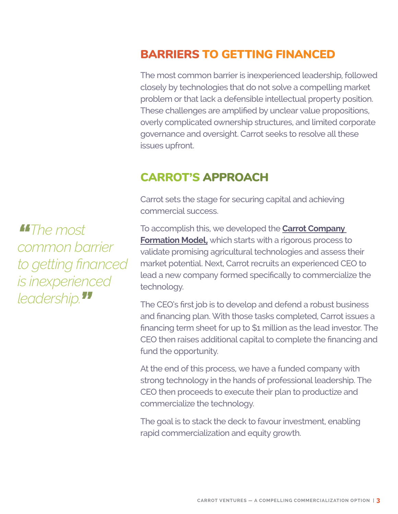# BARRIERS TO GETTING FINANCED

The most common barrier is inexperienced leadership, followed closely by technologies that do not solve a compelling market problem or that lack a defensible intellectual property position. These challenges are amplified by unclear value propositions, overly complicated ownership structures, and limited corporate governance and oversight. Carrot seeks to resolve all these issues upfront.

#### CARROT'S APPROACH

Carrot sets the stage for securing capital and achieving commercial success.

To accomplish this, we developed the **[Carrot Company](https://carrotventures.com/how-does-it-work/)  [Formation Model,](https://carrotventures.com/how-does-it-work/)** which starts with a rigorous process to validate promising agricultural technologies and assess their market potential. Next, Carrot recruits an experienced CEO to lead a new company formed specifically to commercialize the technology.

The CEO's first job is to develop and defend a robust business and financing plan. With those tasks completed, Carrot issues a financing term sheet for up to \$1 million as the lead investor. The CEO then raises additional capital to complete the financing and fund the opportunity.

At the end of this process, we have a funded company with strong technology in the hands of professional leadership. The CEO then proceeds to execute their plan to productize and commercialize the technology.

The goal is to stack the deck to favour investment, enabling rapid commercialization and equity growth.

*"The most common barrier to getting financed is inexperienced leadership."*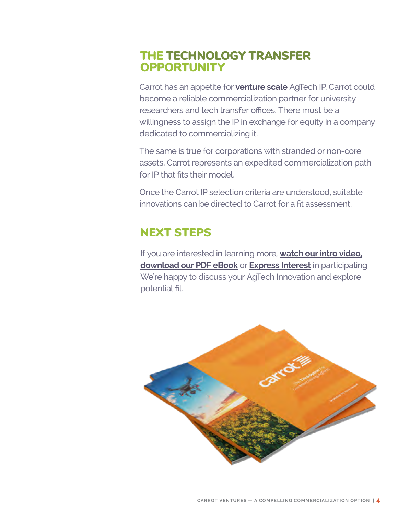# THE TECHNOLOGY TRANSFER **OPPORTUNITY**

Carrot has an appetite for **[venture scale](https://carrotventures.com/is-your-agtech-ip-venture-scale/)** AgTech IP. Carrot could become a reliable commercialization partner for university researchers and tech transfer offices. There must be a willingness to assign the IP in exchange for equity in a company dedicated to commercializing it.

The same is true for corporations with stranded or non-core assets. Carrot represents an expedited commercialization path for IP that fits their model.

Once the Carrot IP selection criteria are understood, suitable innovations can be directed to Carrot for a fit assessment.

# NEXT STEPS

If you are interested in learning more, **[watch our intro video,](https://carrotventures.com/) [download our PDF eBook](https://carrotventures.com/download-access/)** or **[Express Interest](https://carrotventures.com/contact-carrot-ventures/?gfield_radio=Express%20Interest)** in participating. We're happy to discuss your AgTech Innovation and explore potential fit.